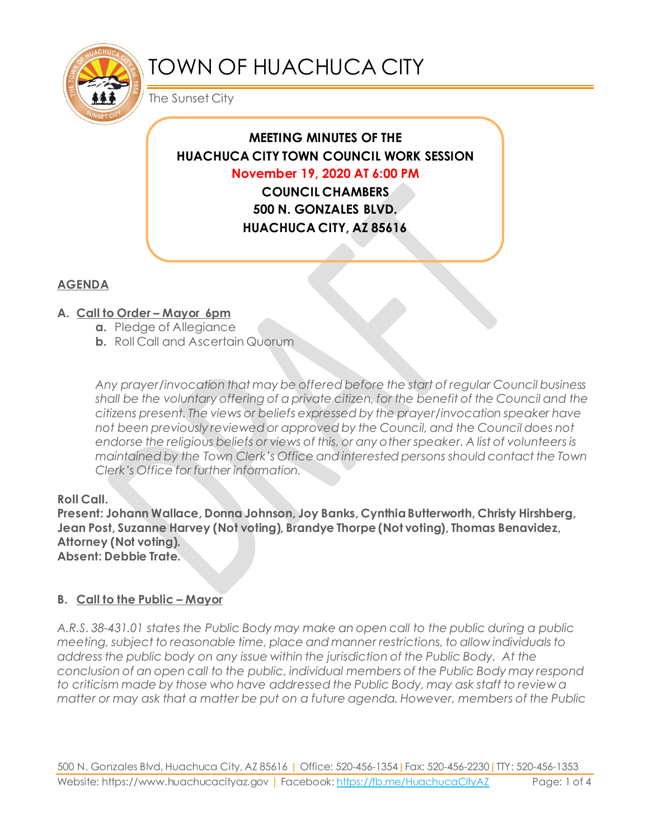

# TOWN OF HUACHUCA CITY

The Sunset City

# **MEETING MINUTES OF THE HUACHUCA CITY TOWN COUNCIL WORK SESSION November 19, 2020 AT 6:00 PM**

**COUNCIL CHAMBERS 500 N. GONZALES BLVD. HUACHUCA CITY, AZ 85616**

## **AGENDA**

## **A. Call to Order – Mayor 6pm**

- **a.** Pledge of Allegiance
- **b.** Roll Call and Ascertain Quorum

*Any prayer/invocation that may be offered before the start of regular Council business shall be the voluntary offering of a private citizen, for the benefit of the Council and the citizens present. The views or beliefs expressed by the prayer/invocation speaker have not been previously reviewed or approved by the Council, and the Council does not endorse the religious beliefs or views of this, or any other speaker. A list of volunteers is maintained by the Town Clerk's Office and interested persons should contact the Town Clerk's Office for further information.*

#### **Roll Call.**

**Present: Johann Wallace, Donna Johnson, Joy Banks, Cynthia Butterworth, Christy Hirshberg, Jean Post, Suzanne Harvey (Not voting), Brandye Thorpe (Not voting), Thomas Benavidez, Attorney (Not voting). Absent: Debbie Trate.**

#### **B. Call to the Public – Mayor**

*A.R.S. 38-431.01 states the Public Body may make an open call to the public during a public meeting, subject to reasonable time, place and manner restrictions, to allow individuals to address the public body on any issue within the jurisdiction of the Public Body. At the conclusion of an open call to the public, individual members of the Public Body may respond to criticism made by those who have addressed the Public Body, may ask staff to review a matter or may ask that a matter be put on a future agenda. However, members of the Public*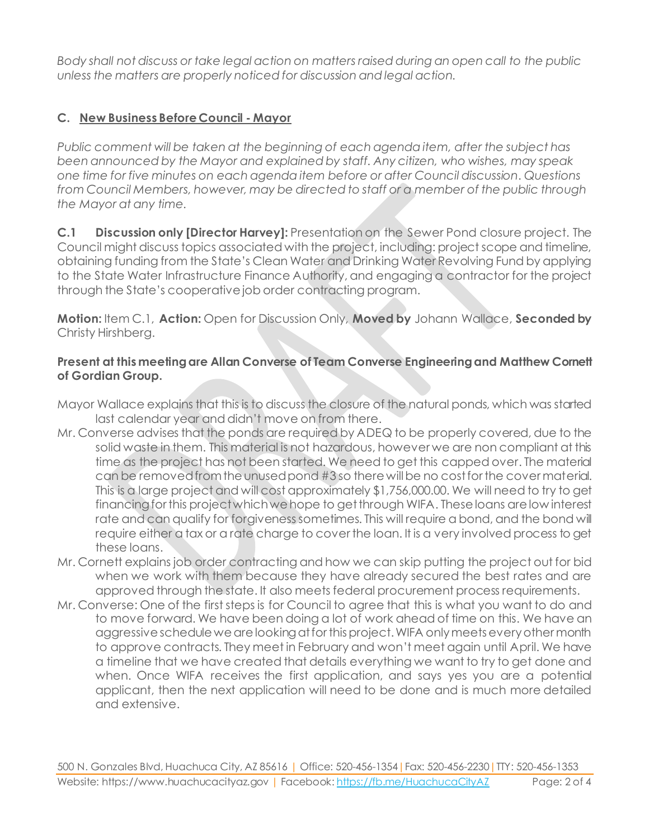*Body shall not discuss or take legal action on matters raised during an open call to the public unless the matters are properly noticed for discussion and legal action.*

## **C. New Business Before Council - Mayor**

*Public comment will be taken at the beginning of each agenda item, after the subject has been announced by the Mayor and explained by staff. Any citizen, who wishes, may speak one time for five minutes on each agenda item before or after Council discussion. Questions from Council Members, however, may be directed to staff or a member of the public through the Mayor at any time.* 

**C.1 Discussion only [Director Harvey]:** Presentation on the Sewer Pond closure project. The Council might discuss topics associated with the project, including: project scope and timeline, obtaining funding from the State's Clean Water and Drinking Water Revolving Fund by applying to the State Water Infrastructure Finance Authority, and engaging a contractor for the project through the State's cooperative job order contracting program.

**Motion:** Item C.1, **Action:** Open for Discussion Only, **Moved by** Johann Wallace, **Seconded by** Christy Hirshberg.

#### **Present at this meeting are Allan Converse of Team Converse Engineering and Matthew Cornett of Gordian Group.**

- Mayor Wallace explains that this is to discuss the closure of the natural ponds, which was started last calendar year and didn't move on from there.
- Mr. Converse advises that the ponds are required by ADEQ to be properly covered, due to the solid waste in them. This material is not hazardous, however we are non compliant at this time as the project has not been started. We need to get this capped over. The material can be removed from the unused pond #3 so there will be no cost for the cover material. This is a large project and will cost approximately \$1,756,000.00. We will need to try to get financing for this project which we hope to get through WIFA. These loans are low interest rate and can qualify for forgivenesssometimes. This will require a bond, and the bond will require either a tax or a rate charge to cover the loan. It is a very involved process to get these loans.
- Mr. Cornett explains job order contracting and how we can skip putting the project out for bid when we work with them because they have already secured the best rates and are approved through the state. It also meets federal procurement process requirements.
- Mr. Converse: One of the first steps is for Council to agree that this is what you want to do and to move forward. We have been doing a lot of work ahead of time on this. We have an aggressive schedule we are looking at for this project. WIFA only meets every other month to approve contracts. They meet in February and won't meet again until April. We have a timeline that we have created that details everything we want to try to get done and when. Once WIFA receives the first application, and says yes you are a potential applicant, then the next application will need to be done and is much more detailed and extensive.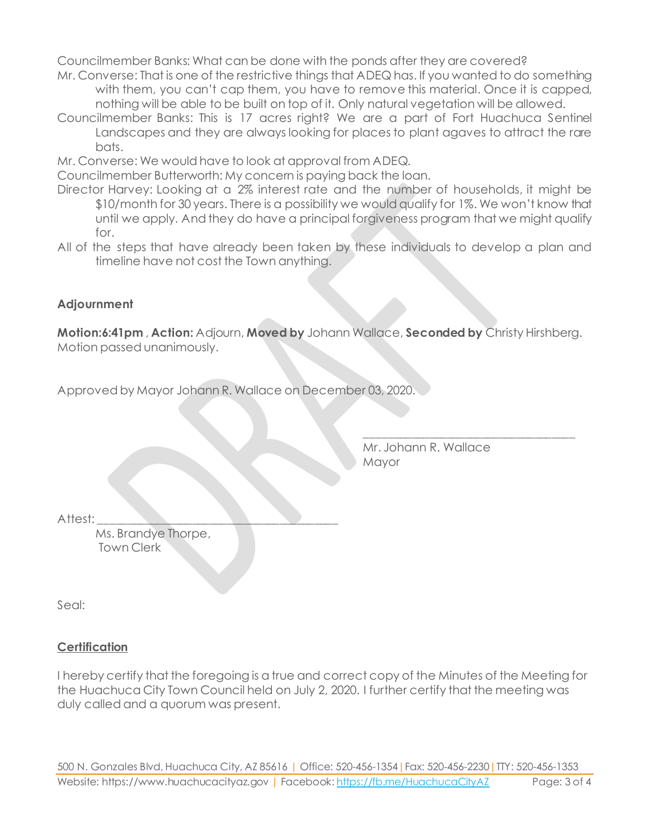Councilmember Banks: What can be done with the ponds after they are covered?

- Mr. Converse: That is one of the restrictive things that ADEQ has. If you wanted to do something with them, you can't cap them, you have to remove this material. Once it is capped, nothing will be able to be built on top of it. Only natural vegetation will be allowed.
- Councilmember Banks: This is 17 acres right? We are a part of Fort Huachuca Sentinel Landscapes and they are always looking for places to plant agaves to attract the rare bats.
- Mr. Converse: We would have to look at approval from ADEQ.

Councilmember Butterworth: My concern is paying back the loan.

- Director Harvey: Looking at a 2% interest rate and the number of households, it might be \$10/month for 30 years. There is a possibility we would qualify for 1%. We won't know that until we apply. And they do have a principal forgiveness program that we might qualify for.
- All of the steps that have already been taken by these individuals to develop a plan and timeline have not cost the Town anything.

#### **Adjournment**

**Motion:6:41pm** , **Action:** Adjourn, **Moved by** Johann Wallace, **Seconded by** Christy Hirshberg. Motion passed unanimously.

Approved by Mayor Johann R. Wallace on December 03, 2020.

Mr. Johann R. Wallace Mayor

\_\_\_\_\_\_\_\_\_\_\_\_\_\_\_\_\_\_\_\_\_\_\_\_\_\_\_\_\_\_\_\_\_\_\_\_

Attest:

Ms. Brandye Thorpe, Town Clerk

Seal:

#### **Certification**

I hereby certify that the foregoing is a true and correct copy of the Minutes of the Meeting for the Huachuca City Town Council held on July 2, 2020. I further certify that the meeting was duly called and a quorum was present.